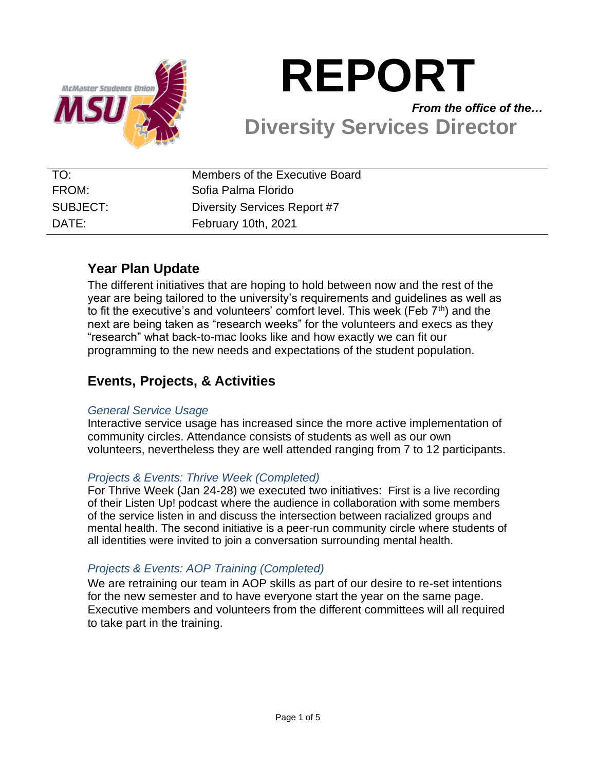

# **REPORT** *From the office of the…* **Diversity Services Director**

| TO:      | Members of the Executive Board |
|----------|--------------------------------|
| FROM:    | Sofia Palma Florido            |
| SUBJECT: | Diversity Services Report #7   |
| DATE:    | February 10th, 2021            |

# **Year Plan Update**

The different initiatives that are hoping to hold between now and the rest of the year are being tailored to the university's requirements and guidelines as well as to fit the executive's and volunteers' comfort level. This week (Feb  $7<sup>th</sup>$ ) and the next are being taken as "research weeks" for the volunteers and execs as they "research" what back-to-mac looks like and how exactly we can fit our programming to the new needs and expectations of the student population.

## **Events, Projects, & Activities**

#### *General Service Usage*

Interactive service usage has increased since the more active implementation of community circles. Attendance consists of students as well as our own volunteers, nevertheless they are well attended ranging from 7 to 12 participants.

#### *Projects & Events: Thrive Week (Completed)*

For Thrive Week (Jan 24-28) we executed two initiatives: First is a live recording of their Listen Up! podcast where the audience in collaboration with some members of the service listen in and discuss the intersection between racialized groups and mental health. The second initiative is a peer-run community circle where students of all identities were invited to join a conversation surrounding mental health.

## *Projects & Events: AOP Training (Completed)*

We are retraining our team in AOP skills as part of our desire to re-set intentions for the new semester and to have everyone start the year on the same page. Executive members and volunteers from the different committees will all required to take part in the training.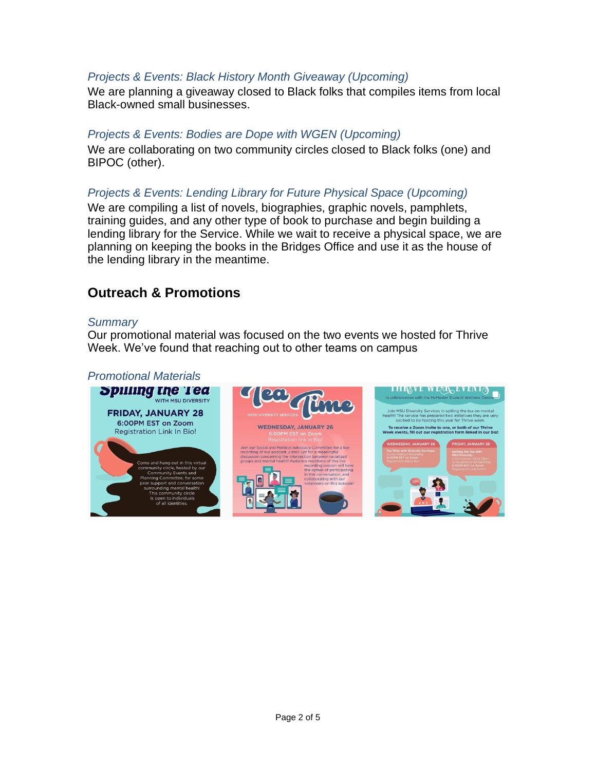### *Projects & Events: Black History Month Giveaway (Upcoming)*

We are planning a giveaway closed to Black folks that compiles items from local Black-owned small businesses.

#### *Projects & Events: Bodies are Dope with WGEN (Upcoming)*

We are collaborating on two community circles closed to Black folks (one) and BIPOC (other).

#### *Projects & Events: Lending Library for Future Physical Space (Upcoming)*

We are compiling a list of novels, biographies, graphic novels, pamphlets, training guides, and any other type of book to purchase and begin building a lending library for the Service. While we wait to receive a physical space, we are planning on keeping the books in the Bridges Office and use it as the house of the lending library in the meantime.

## **Outreach & Promotions**

#### *Summary*

Our promotional material was focused on the two events we hosted for Thrive Week. We've found that reaching out to other teams on campus

#### *Promotional Materials*

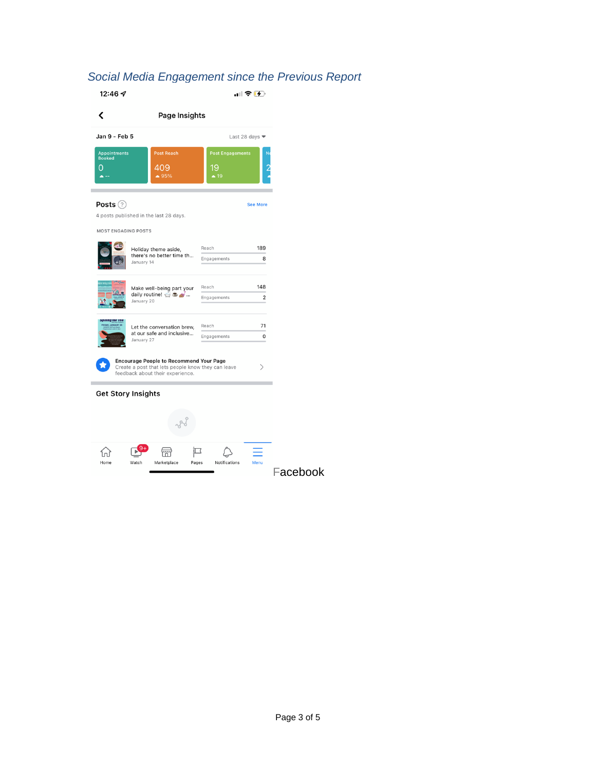# *Social Media Engagement since the Previous Report*

| 12:46 $\sigma$                                                                                                                                |                                                      |                                                 | "⊪♀呸                              |  |  |
|-----------------------------------------------------------------------------------------------------------------------------------------------|------------------------------------------------------|-------------------------------------------------|-----------------------------------|--|--|
| ∢                                                                                                                                             |                                                      | Page Insights                                   |                                   |  |  |
| Jan 9 - Feb 5                                                                                                                                 |                                                      |                                                 | Last 28 days $\blacktriangledown$ |  |  |
| <b>Appointments</b><br><b>Booked</b><br>0                                                                                                     | <b>Post Reach</b><br>409<br>$\triangle$ 95%          | <b>Post Engagements</b><br>19<br>$\triangle$ 19 | N                                 |  |  |
| Posts $(?)$                                                                                                                                   |                                                      |                                                 | <b>See More</b>                   |  |  |
|                                                                                                                                               | 4 posts published in the last 28 days.               |                                                 |                                   |  |  |
| <b>MOST ENGAGING POSTS</b>                                                                                                                    | Holiday theme aside,                                 | Reach                                           | 189                               |  |  |
|                                                                                                                                               | there's no better time th<br>January 14              | Engagements                                     | 8                                 |  |  |
|                                                                                                                                               | Make well-being part your                            | Reach                                           | 148                               |  |  |
|                                                                                                                                               | daily routine! $\Rightarrow$ $\bullet$<br>January 20 | Engagements                                     | $\overline{c}$                    |  |  |
| uung the Tec                                                                                                                                  | Let the conversation brew,                           | Reach                                           | 71                                |  |  |
|                                                                                                                                               | at our safe and inclusive<br>January 27              | Engagements                                     | 0                                 |  |  |
| <b>Encourage People to Recommend Your Page</b><br>Create a post that lets people know they can leave<br>><br>feedback about their experience. |                                                      |                                                 |                                   |  |  |
|                                                                                                                                               | <b>Get Story Insights</b>                            |                                                 |                                   |  |  |
|                                                                                                                                               |                                                      |                                                 |                                   |  |  |
|                                                                                                                                               |                                                      |                                                 |                                   |  |  |
| Home                                                                                                                                          | Watch<br>Marketplace                                 | Notifications<br>Pages                          | Menu                              |  |  |

Page 3 of 5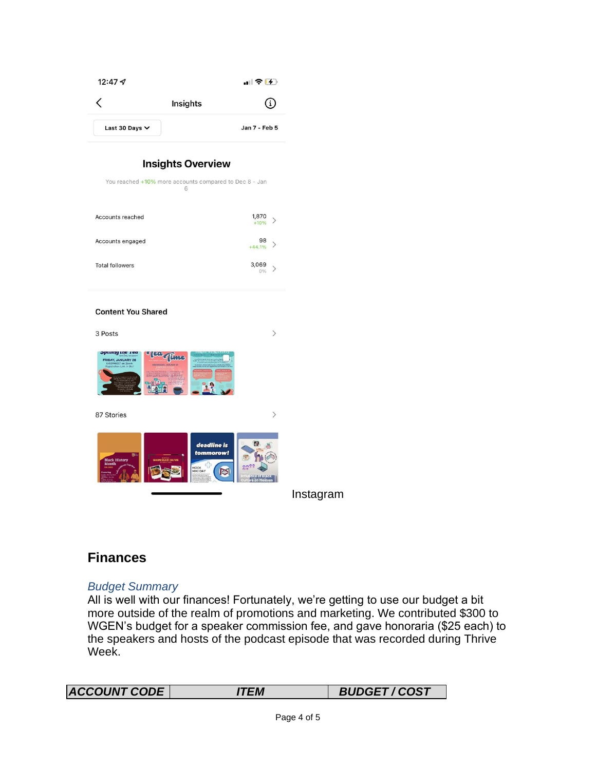| 12:47 $\mathcal{A}$                                                      |                                                                                    | $   \widehat{\mathcal{F}}(t)  $ |
|--------------------------------------------------------------------------|------------------------------------------------------------------------------------|---------------------------------|
| く                                                                        | Insights                                                                           | i                               |
| Last 30 Days V                                                           |                                                                                    | Jan 7 - Feb 5                   |
|                                                                          |                                                                                    |                                 |
|                                                                          | <b>Insights Overview</b><br>You reached +10% more accounts compared to Dec 8 - Jan |                                 |
|                                                                          | 6                                                                                  |                                 |
| Accounts reached                                                         |                                                                                    | 1,870<br>⟩<br>$+10%$            |
| Accounts engaged                                                         |                                                                                    | 98<br>>                         |
| <b>Total followers</b>                                                   |                                                                                    | $+44.1%$<br>3,069               |
|                                                                          |                                                                                    | $\,>\,$<br>0%                   |
|                                                                          |                                                                                    |                                 |
| <b>Content You Shared</b>                                                |                                                                                    |                                 |
| 3 Posts                                                                  |                                                                                    | $\mathcal{P}$                   |
| <b>Shiming</b> rue tea<br>FRIDAY, JANUARY 28<br>i on Zoom<br>Link In Bio | 22 Aline                                                                           |                                 |
|                                                                          |                                                                                    |                                 |
|                                                                          |                                                                                    |                                 |
| 87 Stories                                                               |                                                                                    | $\left\langle \right\rangle$    |
|                                                                          | deadline is                                                                        | $\boldsymbol{\sigma}$           |
| <b>Black History</b><br>Month                                            | tommorow!                                                                          |                                 |
|                                                                          | MOCK<br>MMI DAY                                                                    | lO                              |
|                                                                          |                                                                                    |                                 |

## **Finances**

#### *Budget Summary*

All is well with our finances! Fortunately, we're getting to use our budget a bit more outside of the realm of promotions and marketing. We contributed \$300 to WGEN's budget for a speaker commission fee, and gave honoraria (\$25 each) to the speakers and hosts of the podcast episode that was recorded during Thrive Week.